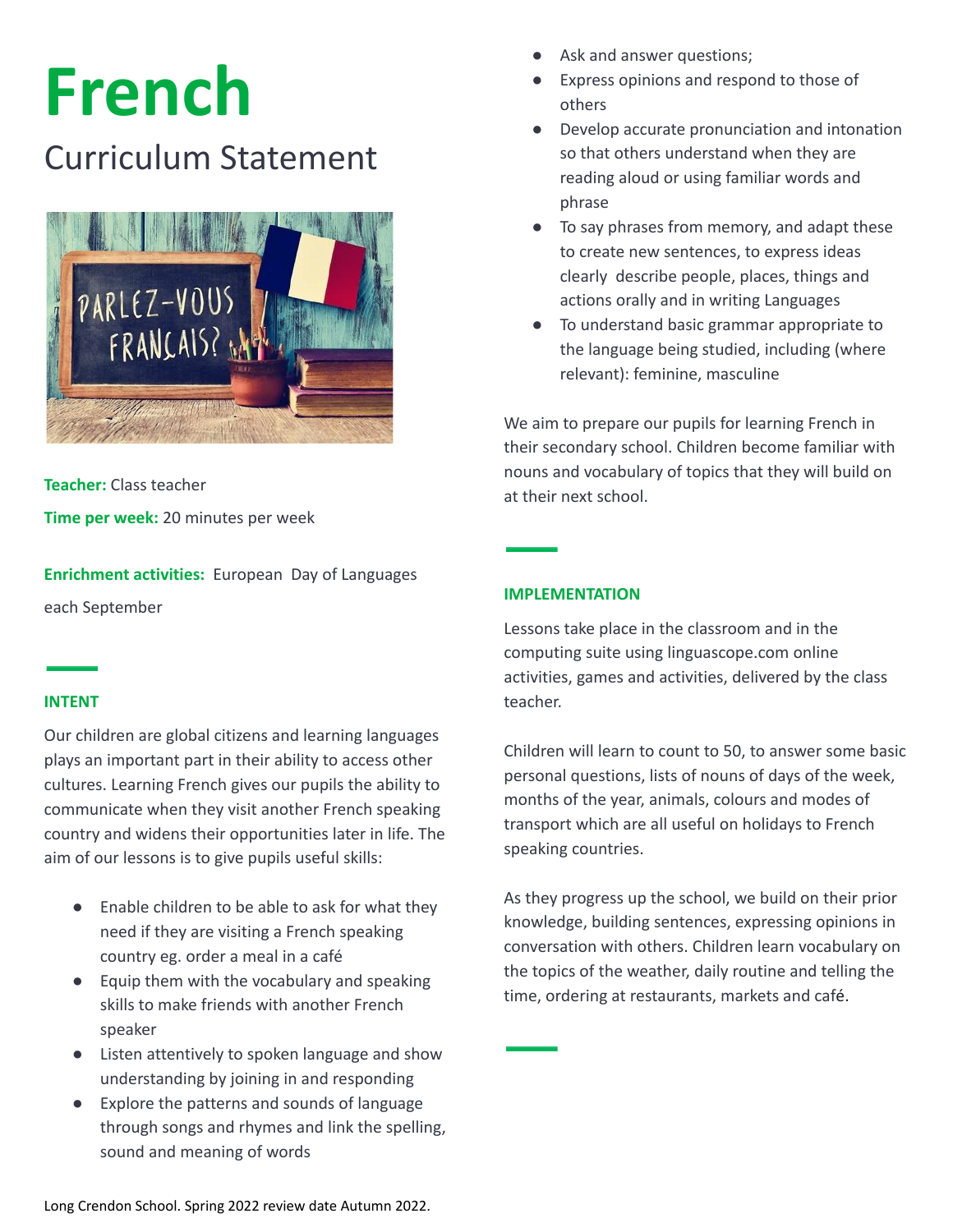# **French**

# Curriculum Statement



**Teacher:** Class teacher

**Time per week:** 20 minutes per week

**Enrichment activities:** European Day of Languages each September

#### **INTENT**

Our children are global citizens and learning languages plays an important part in their ability to access other cultures. Learning French gives our pupils the ability to communicate when they visit another French speaking country and widens their opportunities later in life. The aim of our lessons is to give pupils useful skills:

- Enable children to be able to ask for what they need if they are visiting a French speaking country eg. order a meal in a café
- Equip them with the vocabulary and speaking skills to make friends with another French speaker
- Listen attentively to spoken language and show understanding by joining in and responding
- Explore the patterns and sounds of language through songs and rhymes and link the spelling, sound and meaning of words
- Ask and answer questions;
- Express opinions and respond to those of others
- Develop accurate pronunciation and intonation so that others understand when they are reading aloud or using familiar words and phrase
- To say phrases from memory, and adapt these to create new sentences, to express ideas clearly describe people, places, things and actions orally and in writing Languages
- To understand basic grammar appropriate to the language being studied, including (where relevant): feminine, masculine

We aim to prepare our pupils for learning French in their secondary school. Children become familiar with nouns and vocabulary of topics that they will build on at their next school.

## **IMPLEMENTATION**

Lessons take place in the classroom and in the computing suite using linguascope.com online activities, games and activities, delivered by the class teacher.

Children will learn to count to 50, to answer some basic personal questions, lists of nouns of days of the week, months of the year, animals, colours and modes of transport which are all useful on holidays to French speaking countries.

As they progress up the school, we build on their prior knowledge, building sentences, expressing opinions in conversation with others. Children learn vocabulary on the topics of the weather, daily routine and telling the time, ordering at restaurants, markets and café.